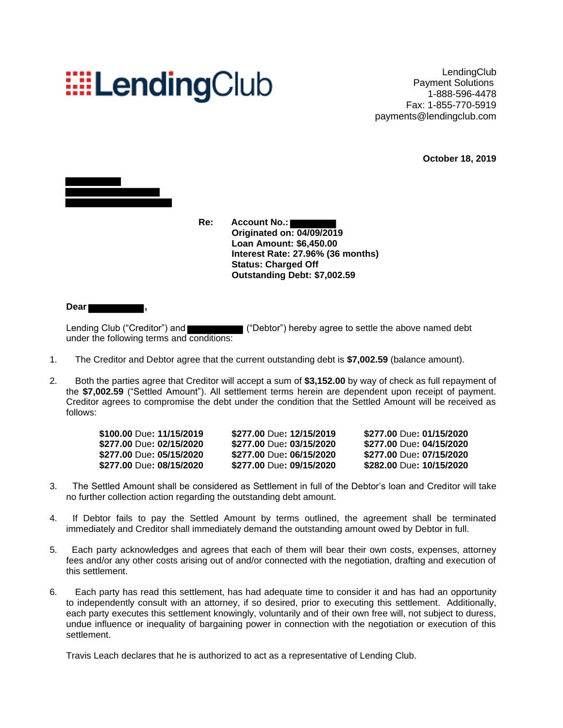## **EELendingClub**

LendingClub Payment Solutions 1-888-596-4478 Fax: 1-855-770-5919 payments@lendingclub.com

**October 18, 2019**



**Re: Account No.: Originated on: 04/09/2019 Loan Amount: \$6,450.00 Interest Rate: 27.96% (36 months) Status: Charged Off Outstanding Debt: \$7,002.59**

**Dear ,**

Lending Club ("Creditor") and ("Debtor") hereby agree to settle the above named debt under the following terms and conditions:

- 1. The Creditor and Debtor agree that the current outstanding debt is **\$7,002.59** (balance amount).
- 2. Both the parties agree that Creditor will accept a sum of **\$3,152.00** by way of check as full repayment of the **\$7,002.59** ("Settled Amount"). All settlement terms herein are dependent upon receipt of payment. Creditor agrees to compromise the debt under the condition that the Settled Amount will be received as follows:

| \$100.00 Due: 11/15/2019 | \$277.00 Due: 12/15/2019 | \$277.00 Due: 01/15/2020 |
|--------------------------|--------------------------|--------------------------|
| \$277.00 Due: 02/15/2020 | \$277.00 Due: 03/15/2020 | \$277.00 Due: 04/15/2020 |
| \$277.00 Due: 05/15/2020 | \$277.00 Due: 06/15/2020 | \$277.00 Due: 07/15/2020 |
| \$277.00 Due: 08/15/2020 | \$277,00 Due: 09/15/2020 | \$282.00 Due: 10/15/2020 |
|                          |                          |                          |

- 3. The Settled Amount shall be considered as Settlement in full of the Debtor's loan and Creditor will take no further collection action regarding the outstanding debt amount.
- 4. If Debtor fails to pay the Settled Amount by terms outlined, the agreement shall be terminated immediately and Creditor shall immediately demand the outstanding amount owed by Debtor in full.
- 5. Each party acknowledges and agrees that each of them will bear their own costs, expenses, attorney fees and/or any other costs arising out of and/or connected with the negotiation, drafting and execution of this settlement.
- 6. Each party has read this settlement, has had adequate time to consider it and has had an opportunity to independently consult with an attorney, if so desired, prior to executing this settlement. Additionally, each party executes this settlement knowingly, voluntarily and of their own free will, not subject to duress, undue influence or inequality of bargaining power in connection with the negotiation or execution of this settlement.

Travis Leach declares that he is authorized to act as a representative of Lending Club.